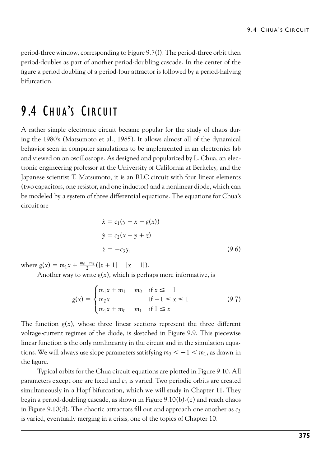9.4 CHUA's CIRCUIT<br>period-three window, corresponding to Figure 9.7(f). The period-three orbit then<br>period-doubles as part of another period-doubling cascade. In the center of the<br>four a period doubling of a period four at 9.4 CHUA's CIRCUIT<br>period-three window, corresponding to Figure 9.7(f). The period-three orbit then<br>period-doubles as part of another period-doubling cascade. In the center of the<br>figure a period doubling of a period-four 9.4 CHUA's C<br>period-three window, corresponding to Figure 9.7(f). The period-three orbit then<br>period-doubles as part of another period-doubling cascade. In the center of the<br>figure a period doubling of a period-four attrac bifurcation. period-three window, corresponding to Figure 9.7(f). The period-theriod-doubles as part of another period-doubling cascade. In the<br>figure a period doubling of a period-four attractor is followed by a phifurcation.<br>9.4 CHUA period-doubles as part of another period-doubling cascade. In the center of the<br>figure a period doubling of a period-four attractor is followed by a period-halving<br>bifurcation.<br>**9 .4** CHUA'S CIRCUIT<br>A rather simple electro

figure a period doubling of a period-four attractor is followed by a period-halving<br>bifurcation.<br>**9.4 CHUA'S CIRCUIT**<br>A rather simple electronic circuit became popular for the study of chaos dur-<br>ing the 1980's (Matsumoto **9.4 CHUA'S CIRCUIT**<br>A rather simple electronic circuit became popular for the study of chaos during the 1980's (Matsumoto et al., 1985). It allows almost all of the dynamical behavior seen in computer simulations to be i **9.4 CHUA'S CIRCUIT**<br>A rather simple electronic circuit became popular for the study of chaos during the 1980's (Matsumoto et al., 1985). It allows almost all of the dynamical behavior seen in computer simulations to be i **9.4 CHUA'S CIRCUIT**<br>A rather simple electronic circuit became popular for the study of chaos during the 1980's (Matsumoto et al., 1985). It allows almost all of the dynamical behavior seen in computer simulations to be i **9.4 CHUA'S CIRCUIT**<br>A rather simple electronic circuit became popular for the study of chaos dur-<br>ing the 1980's (Matsumoto et al., 1985). It allows almost all of the dynamical<br>behavior seen in computer simulations to be A rather simple electronic circuit became popular for the study of chaos during the 1980's (Matsumoto et al., 1985). It allows almost all of the dynamical behavior seen in computer simulations to be implemented in an elect A rather simple electronic circuit became popular for the study of chaos during the 1980's (Matsumoto et al., 1985). It allows almost all of the dynamical behavior seen in computer simulations to be implemented in an elect ing the 1980's (Matsumoto et al., 198!<br>behavior seen in computer simulations<br>and viewed on an oscilloscope. As desig<br>tronic engineering professor at the Uni<br>Japanese scientist T. Matsumoto, it is a<br>(two capacitors, one re

$$
\dot{x} = c_1(y - x - g(x))
$$
\n
$$
\dot{y} = c_2(x - y + z)
$$
\n
$$
\dot{z} = -c_3y,
$$
\n(9.6)\n
$$
g(x) = m_1x + \frac{m_0 - m_1}{2}(|x + 1| - |x - 1|).
$$
\nAnother way to write  $g(x)$ , which is perhaps more informative, is\n
$$
\int m_1x + m_1 - m_0 \quad \text{if } x \le -1
$$

where  $g(x) = m_1 x + \frac{m_0 - m_1}{2} (|x + 1| - |x - 1|).$ 

$$
\dot{z} = -c_3 y,
$$
\n
$$
(\dot{y}, \dot{\theta})
$$
\n
$$
+\frac{m_0 - m_1}{2}(|x + 1| - |x - 1|).
$$
\nTo write  $g(x)$ , which is perhaps more informative, is\n
$$
g(x) = \begin{cases} m_1 x + m_1 - m_0 & \text{if } x \le -1 \\ m_0 x & \text{if } -1 \le x \le 1 \\ m_1 x + m_0 - m_1 & \text{if } 1 \le x \end{cases}
$$
\n(9.7)\n\n
$$
y = \begin{cases} m_1 x + m_1 - m_0 & \text{if } x \le -1 \\ m_1 x + m_0 - m_1 & \text{if } 1 \le x \end{cases}
$$
\n
$$
y = \begin{cases} m_1 x + m_0 - m_1 & \text{if } 1 \le x \\ m_1 x + m_0 - m_1 & \text{if } 1 \le x \end{cases}
$$

where  $g(x) = m_1 x + \frac{m_0 - m_1}{2} (|x + 1| - |x - 1|)$ .<br>
Another way to write  $g(x)$ , which is perhaps more informative, is<br>  $g(x) = \begin{cases} m_1 x + m_1 - m_0 & \text{if } x \le -1 \\ m_0 x & \text{if } -1 \le x \le 1 \end{cases}$  (9.7)<br>
The function  $g(x)$ , whose three linear where  $g(x) = m_1x + \frac{m_2m_1}{2}(|x+1| - |x-1|).$ <br>
Another way to write  $g(x)$ , which is perhaps more informative, is<br>  $g(x) = \begin{cases} m_1x + m_1 - m_0 & \text{if } x \le -1 \\ m_0x & \text{if } -1 \le x \le 1 \end{cases}$  (9.7)<br>
The function  $g(x)$ , whose three linear secti Another way to write  $g(x)$ , which is perhaps more informative, is<br>  $g(x) = \begin{cases} m_1x + m_1 - m_0 & \text{if } x \le -1 \\ m_0x & \text{if } -1 \le x \le 1 \end{cases}$  (9.7)<br>
The function  $g(x)$ , whose three linear sections represent the three different<br>
voltage $g(x) = \begin{cases} m_1x + m_1 - m_0 & \text{if } x \le -1 \\ m_0x & \text{if } -1 \le x \le 1 \\ m_1x + m_0 - m_1 & \text{if } 1 \le x \end{cases}$ <br>The function  $g(x)$ , whose three linear sections represent the three diffeologie-current regimes of the diode, is sketched in Figure 9.9. tions. We will always use slope parameters satisfying  $m_0 < -1 < m_1$ , as drawn in (9.7)<br>
ree different<br>
nis piecewise<br>
alation equa-<br>
, as drawn in  $g(x) = \begin{cases} m_0x \\ m_1x + r \end{cases}$ <br>The function  $g(x)$ , whose three lived<br>voltage-current regimes of the diod<br>linear function is the only nonlinear<br>tions. We will always use slope paran<br>the figure.<br>Typical orbits for the Chua cir For the chua circuit equations for the three different<br>
e-current regimes of the diode, is sketched in Figure 9.9. This piecewise<br>
function is the only nonlinearity in the circuit and in the simulation equa-<br>
We will alwa The function  $g(x)$ , whose three linear sections represent the<br>voltage-current regimes of the diode, is sketched in Figure 9.9.<br>linear function is the only nonlinearity in the circuit and in the si<br>tions. We will always us is sketched in Figure 9.9. This piecewise<br>in the circuit and in the simulation equa-<br>ers satisfying  $m_0 < -1 < m_1$ , as drawn in<br>t equations are plotted in Figure 9.10. All<br>is varied. Two periodic orbits are created<br>which we The function  $g(x)$ , whose three linear sections represent the three different voltage-current regimes of the diode, is sketched in Figure 9.9. This piecewise linear function is the only nonlinearity in the circuit and in

voltage-current regimes of the diode, is sketched in Figure 9.9. This piecewise<br>linear function is the only nonlinearity in the circuit and in the simulation equa-<br>tions. We will always use slope parameters satisfying  $m_$ linear function is the only nonlinearity in the circuit and in the simulation equa-<br>tions. We will always use slope parameters satisfying  $m_0 < -1 < m_1$ , as drawn in<br>the figure.<br>Typical orbits for the Chua circuit equations tions. We will always use slope parameters satisfying  $m_0 < -1 < m_1$ , as drawn in the figure.<br>
Typical orbits for the Chua circuit equations are plotted in Figure 9.10. All parameters except one are fixed and  $c_3$  is varie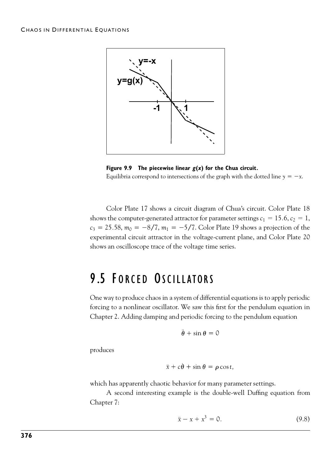

**Figure 9.9 The piecewise linear**  $g(x)$  **for the Chua circuit.**<br>Equilibria correspond to intersections of the graph with the dotted line  $y = -x$ .<br>Color Plate 17 shows a circuit diagram of Chua's circuit. Color Plate 18<br>shows  $15.6, c_2 = 1,$  $c_3 = 25.58$ ,  $m_0 = -8/7$ ,  $m_1 = -5/7$ . Colo **Example 19 shows a project of the Shows a projections** of the graph with the dotted line  $y = -x$ .<br>
uit diagram of Chua's circuit. Color Plate 18<br>
actor for parameter settings  $c_1 = 15.6$ ,  $c_2 = 1$ ,<br>
5/7. Color Plate 19 sh Equilibria correspond to intersections of the graph with the dotted line  $y = -x$ .<br>
Color Plate 17 shows a circuit diagram of Chua's circuit. Color Plate 18<br>
shows the computer-generated attractor for parameter settings  $c_$ Color Plate 17 shows a circuit diagram of Chua's circuit. Color Plate 18<br>shows the computer-generated attractor for parameter settings  $c_1 = 15.6$ ,  $c_2 = 1$ <br> $c_3 = 25.58$ ,  $m_0 = -8/7$ ,  $m_1 = -5/7$ . Color Plate 19 shows a pro shows the computer-generated attractor for parameter settings  $c_1 = 15.6$ ,  $c_2$ <br>  $c_3 = 25.58$ ,  $m_0 = -8/7$ ,  $m_1 = -5/7$ . Color Plate 19 shows a projection of<br>
experimental circuit attractor in the voltage-current plane, an

Examples was a projection of the experimental circuit attractor in the voltage-current plane, and Color Plate 20<br>shows an oscilloscope trace of the voltage time series.<br>**9.5 FORCED OSCILLATORS**<br>One way to produce chaos in FORCED OSCILLATORS<br>Shows an oscilloscope trace of the voltage time series.<br>The way to produce chaos in a system of differential equations is to apply periodic<br>forcing to a nonlinear oscillator. We saw this first for the pe **9.5 FORCED OSCILLATORS**<br>One way to produce chaos in a system of differential equations is to apply periodic forcing to a nonlinear oscillator. We saw this first for the pendulum equation in Chapter 2. Adding damping an

$$
\ddot{\theta} + \sin \theta = 0
$$

produces

$$
\ddot{x} + c\dot{\theta} + \sin \theta = \rho \cos t,
$$

Chapter 2. Adding damping and periodic forcing to the pendulum equation<br>  $\ddot{\theta} + \sin \theta = 0$ <br>
produces<br>  $\ddot{x} + c\dot{\theta} + \sin \theta = \rho \cos t$ ,<br>
which has apparently chaotic behavior for many parameter settings.<br>
A second interesting exa  $\ddot{\theta} + \sin \theta = 0$ <br>
ces<br>  $\ddot{x} + c\dot{\theta} + \sin \theta = \rho \cos t$ ,<br>
has apparently chaotic behavior for many parameter settings.<br>
A second interesting example is the double-well Duffing equation from<br>
ter 7: produces<br>  $\ddot{x} + c\dot{\theta} + \sin \theta$ <br>
which has apparently chaotic behavior fc<br>
A second interesting example is t<br>
Chapter 7:<br>  $\ddot{x} - x + z$ 

$$
\ddot{x} - x + x^3 = 0. \tag{9.8}
$$